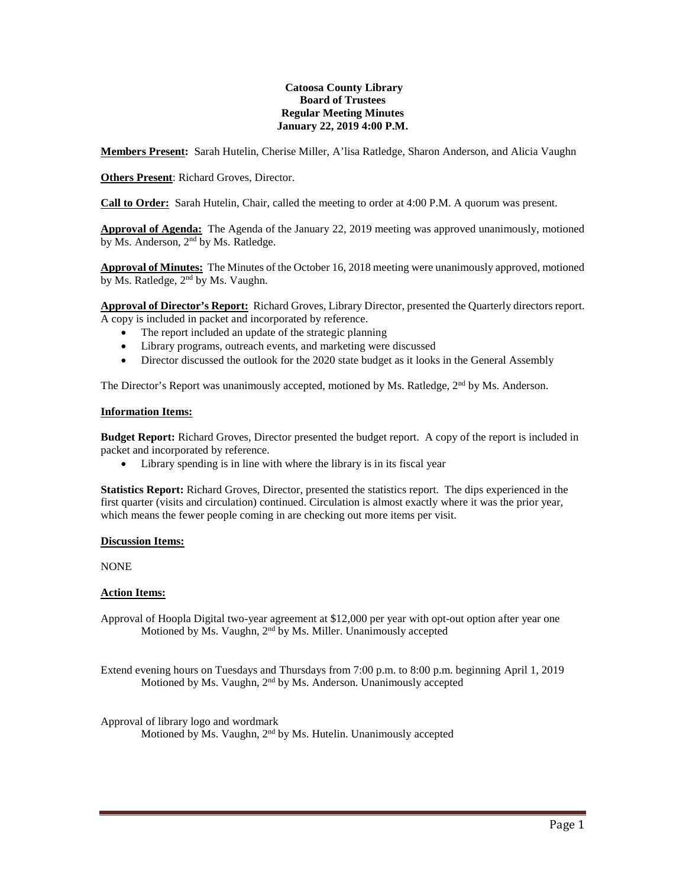### **Catoosa County Library Board of Trustees Regular Meeting Minutes January 22, 2019 4:00 P.M.**

**Members Present:** Sarah Hutelin, Cherise Miller, A'lisa Ratledge, Sharon Anderson, and Alicia Vaughn

**Others Present**: Richard Groves, Director.

**Call to Order:** Sarah Hutelin, Chair, called the meeting to order at 4:00 P.M. A quorum was present.

**Approval of Agenda:** The Agenda of the January 22, 2019 meeting was approved unanimously, motioned by Ms. Anderson, 2nd by Ms. Ratledge.

**Approval of Minutes:** The Minutes of the October 16, 2018 meeting were unanimously approved, motioned by Ms. Ratledge, 2<sup>nd</sup> by Ms. Vaughn.

**Approval of Director's Report:** Richard Groves, Library Director, presented the Quarterly directors report. A copy is included in packet and incorporated by reference.

- The report included an update of the strategic planning
- Library programs, outreach events, and marketing were discussed
- Director discussed the outlook for the 2020 state budget as it looks in the General Assembly

The Director's Report was unanimously accepted, motioned by Ms. Ratledge, 2<sup>nd</sup> by Ms. Anderson.

#### **Information Items:**

**Budget Report:** Richard Groves, Director presented the budget report. A copy of the report is included in packet and incorporated by reference.

• Library spending is in line with where the library is in its fiscal year

**Statistics Report:** Richard Groves, Director, presented the statistics report. The dips experienced in the first quarter (visits and circulation) continued. Circulation is almost exactly where it was the prior year, which means the fewer people coming in are checking out more items per visit.

# **Discussion Items:**

NONE

# **Action Items:**

Approval of Hoopla Digital two-year agreement at \$12,000 per year with opt-out option after year one Motioned by Ms. Vaughn,  $2<sup>nd</sup>$  by Ms. Miller. Unanimously accepted

Extend evening hours on Tuesdays and Thursdays from 7:00 p.m. to 8:00 p.m. beginning April 1, 2019 Motioned by Ms. Vaughn, 2<sup>nd</sup> by Ms. Anderson. Unanimously accepted

Approval of library logo and wordmark Motioned by Ms. Vaughn, 2nd by Ms. Hutelin. Unanimously accepted